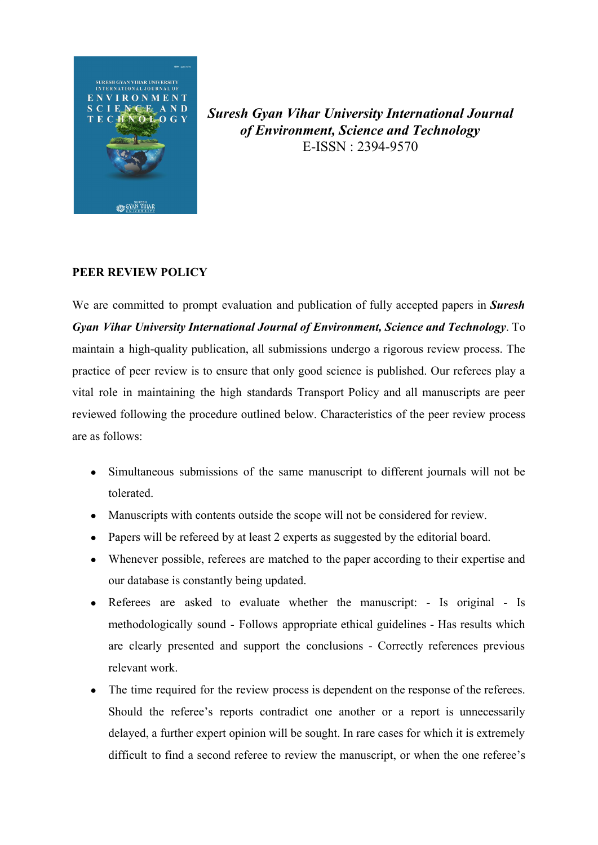

*Suresh Gyan Vihar University International Journal of Environment, Science and Technology* E-ISSN : 2394-9570

## **PEER REVIEW POLICY**

We are committed to prompt evaluation and publication of fully accepted papers in *Suresh Gyan Vihar University International Journal of Environment, Science and Technology*. To maintain a high-quality publication, all submissions undergo a rigorous review process. The practice of peer review is to ensure that only good science is published. Our referees play a vital role in maintaining the high standards Transport Policy and all manuscripts are peer reviewed following the procedure outlined below. Characteristics of the peer review process are as follows:

- Simultaneous submissions of the same manuscript to different journals will not be tolerated.
- Manuscripts with contents outside the scope will not be considered for review.
- Papers will be refereed by at least 2 experts as suggested by the editorial board.
- Whenever possible, referees are matched to the paper according to their expertise and our database is constantly being updated.
- Referees are asked to evaluate whether the manuscript: Is original Is methodologically sound - Follows appropriate ethical guidelines - Has results which are clearly presented and support the conclusions - Correctly references previous relevant work.
- The time required for the review process is dependent on the response of the referees. Should the referee's reports contradict one another or a report is unnecessarily delayed, a further expert opinion will be sought. In rare cases for which it is extremely difficult to find a second referee to review the manuscript, or when the one referee's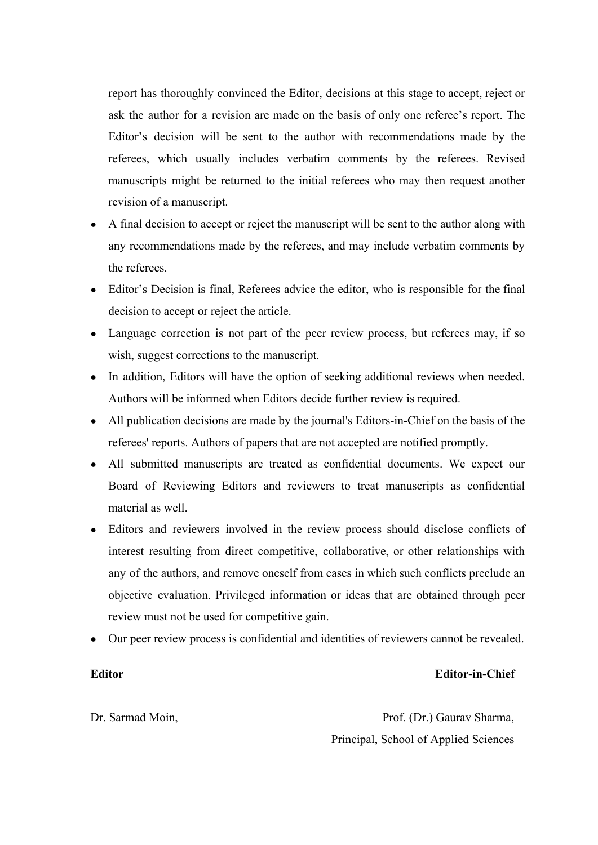report has thoroughly convinced the Editor, decisions at this stage to accept, reject or ask the author for a revision are made on the basis of only one referee's report. The Editor's decision will be sent to the author with recommendations made by the referees, which usually includes verbatim comments by the referees. Revised manuscripts might be returned to the initial referees who may then request another revision of a manuscript.

- A final decision to accept or reject the manuscript will be sent to the author along with any recommendations made by the referees, and may include verbatim comments by the referees.
- Editor's Decision is final, Referees advice the editor, who is responsible for the final decision to accept or reject the article.
- Language correction is not part of the peer review process, but referees may, if so wish, suggest corrections to the manuscript.
- In addition, Editors will have the option of seeking additional reviews when needed. Authors will be informed when Editors decide further review is required.
- All publication decisions are made by the journal's Editors-in-Chief on the basis of the referees' reports. Authors of papers that are not accepted are notified promptly.
- All submitted manuscripts are treated as confidential documents. We expect our Board of Reviewing Editors and reviewers to treat manuscripts as confidential material as well.
- Editors and reviewers involved in the review process should disclose conflicts of interest resulting from direct competitive, collaborative, or other relationships with any of the authors, and remove oneself from cases in which such conflicts preclude an objective evaluation. Privileged information or ideas that are obtained through peer review must not be used for competitive gain.
- Our peer review process is confidential and identities of reviewers cannot be revealed.

## **Editor**

## **Editor-in-Chief**

Dr. Sarmad Moin,

Prof. (Dr.) Gaurav Sharma, Principal, School of Applied Sciences